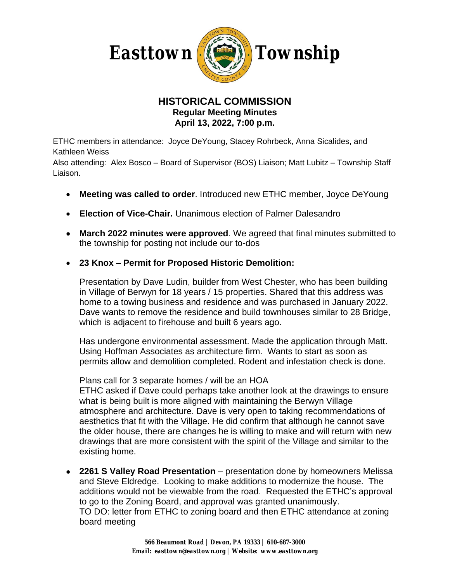

## **HISTORICAL COMMISSION Regular Meeting Minutes April 13, 2022, 7:00 p.m.**

ETHC members in attendance: Joyce DeYoung, Stacey Rohrbeck, Anna Sicalides, and Kathleen Weiss

Also attending: Alex Bosco – Board of Supervisor (BOS) Liaison; Matt Lubitz – Township Staff Liaison.

- **Meeting was called to order**. Introduced new ETHC member, Joyce DeYoung
- **Election of Vice-Chair.** Unanimous election of Palmer Dalesandro
- **March 2022 minutes were approved**. We agreed that final minutes submitted to the township for posting not include our to-dos
- **23 Knox – Permit for Proposed Historic Demolition:**

Presentation by Dave Ludin, builder from West Chester, who has been building in Village of Berwyn for 18 years / 15 properties. Shared that this address was home to a towing business and residence and was purchased in January 2022. Dave wants to remove the residence and build townhouses similar to 28 Bridge, which is adjacent to firehouse and built 6 years ago.

Has undergone environmental assessment. Made the application through Matt. Using Hoffman Associates as architecture firm. Wants to start as soon as permits allow and demolition completed. Rodent and infestation check is done.

Plans call for 3 separate homes / will be an HOA

ETHC asked if Dave could perhaps take another look at the drawings to ensure what is being built is more aligned with maintaining the Berwyn Village atmosphere and architecture. Dave is very open to taking recommendations of aesthetics that fit with the Village. He did confirm that although he cannot save the older house, there are changes he is willing to make and will return with new drawings that are more consistent with the spirit of the Village and similar to the existing home.

 **2261 S Valley Road Presentation** – presentation done by homeowners Melissa and Steve Eldredge. Looking to make additions to modernize the house. The additions would not be viewable from the road. Requested the ETHC's approval to go to the Zoning Board, and approval was granted unanimously. TO DO: letter from ETHC to zoning board and then ETHC attendance at zoning board meeting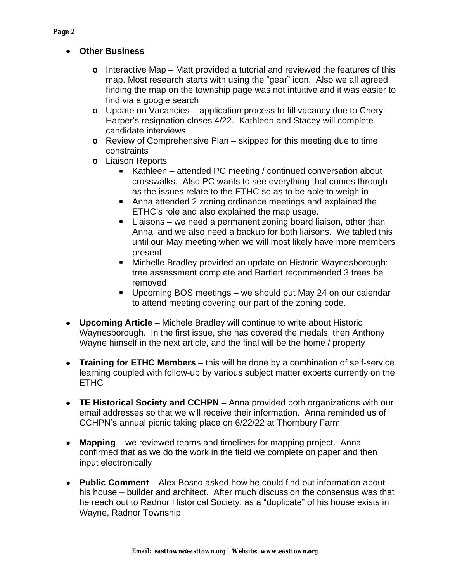*Page 2*

- **Other Business**
	- **o** Interactive Map Matt provided a tutorial and reviewed the features of this map. Most research starts with using the "gear" icon. Also we all agreed finding the map on the township page was not intuitive and it was easier to find via a google search
	- **o** Update on Vacancies application process to fill vacancy due to Cheryl Harper's resignation closes 4/22. Kathleen and Stacey will complete candidate interviews
	- **o** Review of Comprehensive Plan skipped for this meeting due to time constraints
	- **o** Liaison Reports
		- Kathleen attended PC meeting / continued conversation about crosswalks. Also PC wants to see everything that comes through as the issues relate to the ETHC so as to be able to weigh in
		- Anna attended 2 zoning ordinance meetings and explained the ETHC's role and also explained the map usage.
		- Liaisons we need a permanent zoning board liaison, other than Anna, and we also need a backup for both liaisons. We tabled this until our May meeting when we will most likely have more members present
		- Michelle Bradley provided an update on Historic Waynesborough: tree assessment complete and Bartlett recommended 3 trees be removed
		- Upcoming BOS meetings we should put May 24 on our calendar to attend meeting covering our part of the zoning code.
- **Upcoming Article** Michele Bradley will continue to write about Historic Waynesborough. In the first issue, she has covered the medals, then Anthony Wayne himself in the next article, and the final will be the home / property
- **Training for ETHC Members**  this will be done by a combination of self-service learning coupled with follow-up by various subject matter experts currently on the ETHC
- **TE Historical Society and CCHPN**  Anna provided both organizations with our email addresses so that we will receive their information. Anna reminded us of CCHPN's annual picnic taking place on 6/22/22 at Thornbury Farm
- **Mapping**  we reviewed teams and timelines for mapping project. Anna confirmed that as we do the work in the field we complete on paper and then input electronically
- **Public Comment**  Alex Bosco asked how he could find out information about his house – builder and architect. After much discussion the consensus was that he reach out to Radnor Historical Society, as a "duplicate" of his house exists in Wayne, Radnor Township